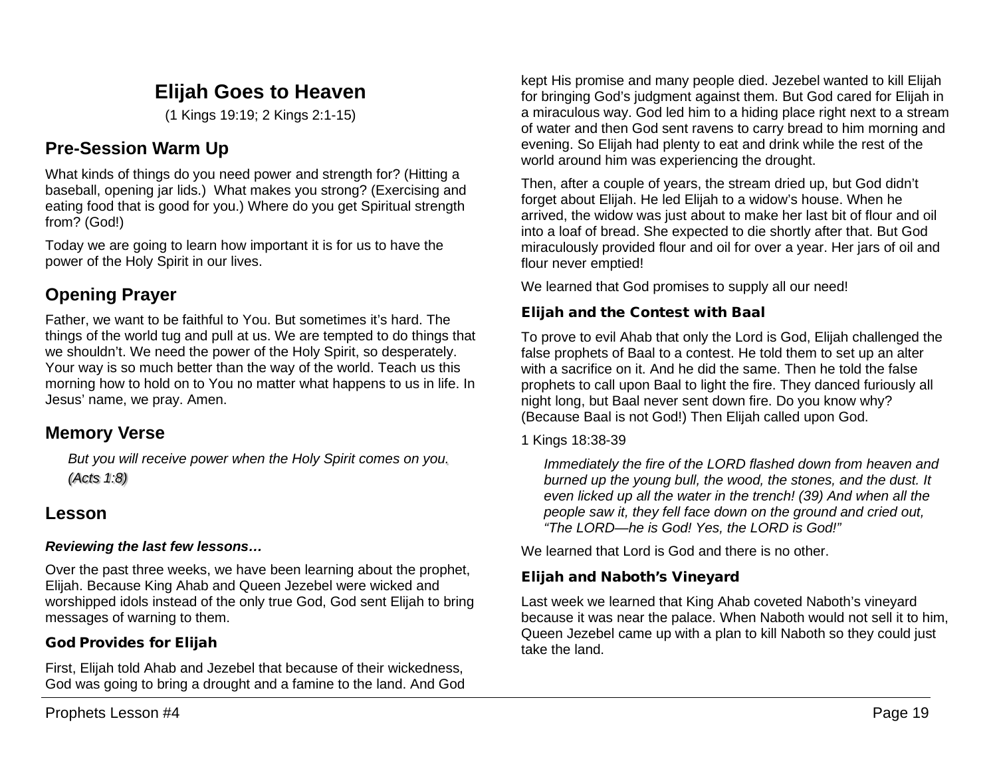# **Elijah Goes to Heaven**

(1 Kings 19:19; 2 Kings 2:1-15)

## **Pre-Session Warm Up**

What kinds of things do you need power and strength for? (Hitting a baseball, opening jar lids.) What makes you strong? (Exercising and eating food that is good for you.) Where do you get Spiritual strength from? (God!)

Today we are going to learn how important it is for us to have the power of the Holy Spirit in our lives.

# **Opening Prayer**

Father, we want to be faithful to You. But sometimes it's hard. The things of the world tug and pull at us. We are tempted to do things that we shouldn't. We need the power of the Holy Spirit, so desperately. Your way is so much better than the way of the world. Teach us this morning how to hold on to You no matter what happens to us in life. In Jesus' name, we pray. Amen.

## **Memory Verse**

*But you will receive power when the Holy Spirit comes on you. (Acts 1:8)*

## **Lesson**

### *Reviewing the last few lessons…*

Over the past three weeks, we have been learning about the prophet, Elijah. Because King Ahab and Queen Jezebel were wicked and worshipped idols instead of the only true God, God sent Elijah to bring messages of warning to them.

### God Provides for Elijah

First, Elijah told Ahab and Jezebel that because of their wickedness, God was going to bring a drought and a famine to the land. And God kept His promise and many people died. Jezebel wanted to kill Elijah for bringing God's judgment against them. But God cared for Elijah in a miraculous way. God led him to a hiding place right next to a stream of water and then God sent ravens to carry bread to him morning and evening. So Elijah had plenty to eat and drink while the rest of the world around him was experiencing the drought.

Then, after a couple of years, the stream dried up, but God didn't forget about Elijah. He led Elijah to a widow's house. When he arrived, the widow was just about to make her last bit of flour and oil into a loaf of bread. She expected to die shortly after that. But God miraculously provided flour and oil for over a year. Her jars of oil and flour never emptied!

We learned that God promises to supply all our need!

## Elijah and the Contest with Baal

To prove to evil Ahab that only the Lord is God, Elijah challenged the false prophets of Baal to a contest. He told them to set up an alter with a sacrifice on it. And he did the same. Then he told the false prophets to call upon Baal to light the fire. They danced furiously all night long, but Baal never sent down fire. Do you know why? (Because Baal is not God!) Then Elijah called upon God.

1 Kings 18:38-39

*Immediately the fire of the LORD flashed down from heaven and burned up the young bull, the wood, the stones, and the dust. It even licked up all the water in the trench! (39) And when all the people saw it, they fell face down on the ground and cried out, "The LORD—he is God! Yes, the LORD is God!"*

We learned that Lord is God and there is no other.

## Elijah and Naboth's Vineyard

Last week we learned that King Ahab coveted Naboth's vineyard because it was near the palace. When Naboth would not sell it to him, Queen Jezebel came up with a plan to kill Naboth so they could just take the land.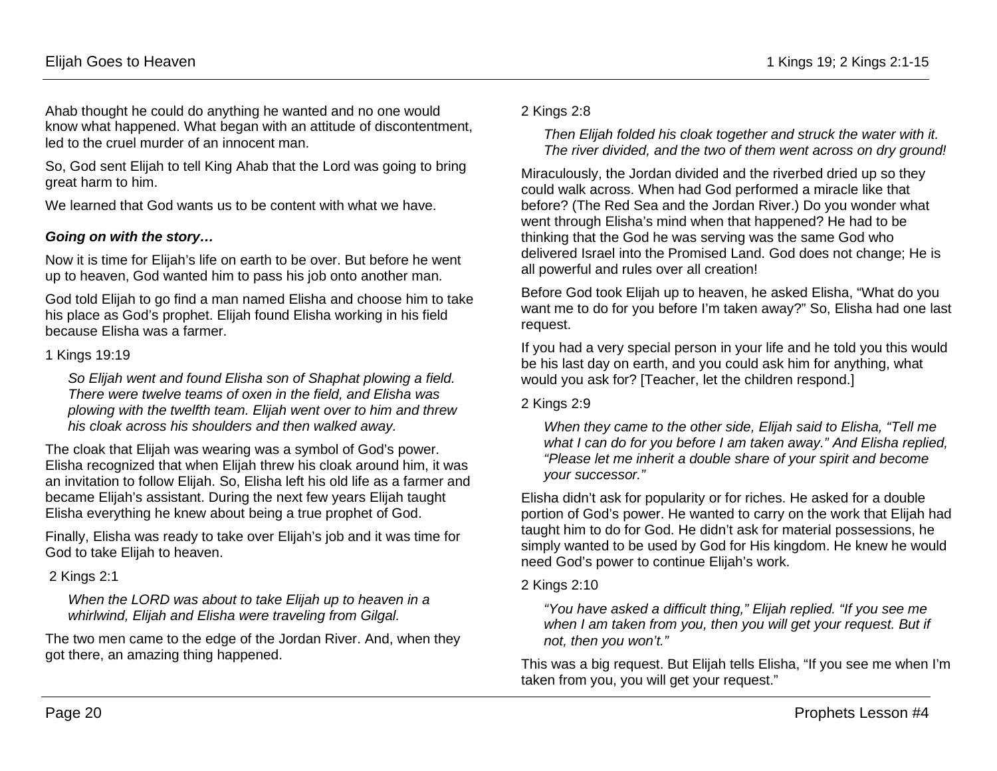Ahab thought he could do anything he wanted and no one would know what happened. What began with an attitude of discontentment, led to the cruel murder of an innocent man.

So, God sent Elijah to tell King Ahab that the Lord was going to bring great harm to him.

We learned that God wants us to be content with what we have.

#### *Going on with the story…*

Now it is time for Elijah's life on earth to be over. But before he went up to heaven, God wanted him to pass his job onto another man.

God told Elijah to go find a man named Elisha and choose him to take his place as God's prophet. Elijah found Elisha working in his field because Elisha was a farmer.

#### 1 Kings 19:19

*So Elijah went and found Elisha son of Shaphat plowing a field. There were twelve teams of oxen in the field, and Elisha was plowing with the twelfth team. Elijah went over to him and threw his cloak across his shoulders and then walked away.*

The cloak that Elijah was wearing was a symbol of God's power. Elisha recognized that when Elijah threw his cloak around him, it was an invitation to follow Elijah. So, Elisha left his old life as a farmer and became Elijah's assistant. During the next few years Elijah taught Elisha everything he knew about being a true prophet of God.

Finally, Elisha was ready to take over Elijah's job and it was time for God to take Elijah to heaven.

2 Kings 2:1

*When the LORD was about to take Elijah up to heaven in a whirlwind, Elijah and Elisha were traveling from Gilgal.*

The two men came to the edge of the Jordan River. And, when they got there, an amazing thing happened.

#### 2 Kings 2:8

*Then Elijah folded his cloak together and struck the water with it. The river divided, and the two of them went across on dry ground!*

Miraculously, the Jordan divided and the riverbed dried up so they could walk across. When had God performed a miracle like that before? (The Red Sea and the Jordan River.) Do you wonder what went through Elisha's mind when that happened? He had to be thinking that the God he was serving was the same God who delivered Israel into the Promised Land. God does not change; He is all powerful and rules over all creation!

Before God took Elijah up to heaven, he asked Elisha, "What do you want me to do for you before I'm taken away?" So, Elisha had one last request.

If you had a very special person in your life and he told you this would be his last day on earth, and you could ask him for anything, what would you ask for? [Teacher, let the children respond.]

#### 2 Kings 2:9

*When they came to the other side, Elijah said to Elisha, "Tell me what I can do for you before I am taken away." And Elisha replied, "Please let me inherit a double share of your spirit and become your successor."*

Elisha didn't ask for popularity or for riches. He asked for a double portion of God's power. He wanted to carry on the work that Elijah had taught him to do for God. He didn't ask for material possessions, he simply wanted to be used by God for His kingdom. He knew he would need God's power to continue Elijah's work.

#### 2 Kings 2:10

*"You have asked a difficult thing," Elijah replied. "If you see me when I am taken from you, then you will get your request. But if not, then you won't."*

This was a big request. But Elijah tells Elisha, "If you see me when I'm taken from you, you will get your request."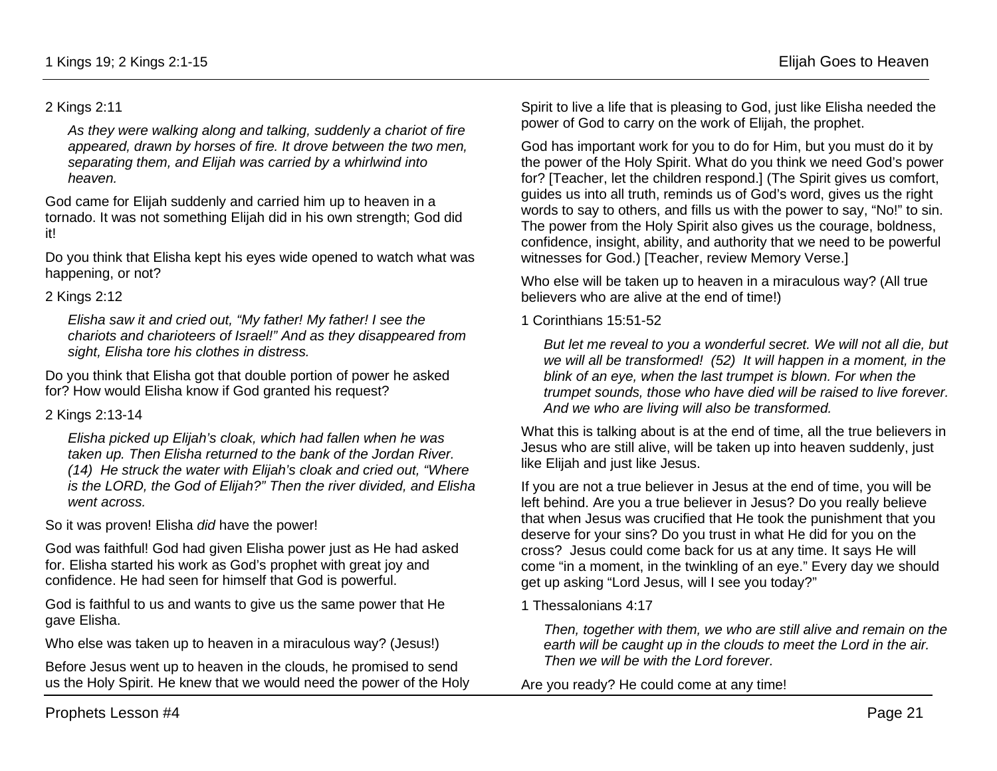#### 2 Kings 2:11

*As they were walking along and talking, suddenly a chariot of fire appeared, drawn by horses of fire. It drove between the two men, separating them, and Elijah was carried by a whirlwind into heaven.*

God came for Elijah suddenly and carried him up to heaven in a tornado. It was not something Elijah did in his own strength; God did it!

Do you think that Elisha kept his eyes wide opened to watch what was happening, or not?

#### 2 Kings 2:12

*Elisha saw it and cried out, "My father! My father! I see the chariots and charioteers of Israel!" And as they disappeared from sight, Elisha tore his clothes in distress.*

Do you think that Elisha got that double portion of power he asked for? How would Elisha know if God granted his request?

#### 2 Kings 2:13-14

*Elisha picked up Elijah's cloak, which had fallen when he was taken up. Then Elisha returned to the bank of the Jordan River. (14) He struck the water with Elijah's cloak and cried out, "Where is the LORD, the God of Elijah?" Then the river divided, and Elisha went across.*

So it was proven! Elisha *did* have the power!

God was faithful! God had given Elisha power just as He had asked for. Elisha started his work as God's prophet with great joy and confidence. He had seen for himself that God is powerful.

God is faithful to us and wants to give us the same power that He gave Elisha.

Who else was taken up to heaven in a miraculous way? (Jesus!)

Before Jesus went up to heaven in the clouds, he promised to send us the Holy Spirit. He knew that we would need the power of the Holy Spirit to live a life that is pleasing to God, just like Elisha needed the power of God to carry on the work of Elijah, the prophet.

God has important work for you to do for Him, but you must do it by the power of the Holy Spirit. What do you think we need God's power for? [Teacher, let the children respond.] (The Spirit gives us comfort, guides us into all truth, reminds us of God's word, gives us the right words to say to others, and fills us with the power to say, "No!" to sin. The power from the Holy Spirit also gives us the courage, boldness, confidence, insight, ability, and authority that we need to be powerful witnesses for God.) [Teacher, review Memory Verse.]

Who else will be taken up to heaven in a miraculous way? (All true believers who are alive at the end of time!)

#### 1 Corinthians 15:51-52

*But let me reveal to you a wonderful secret. We will not all die, but we will all be transformed! (52) It will happen in a moment, in the blink of an eye, when the last trumpet is blown. For when the trumpet sounds, those who have died will be raised to live forever. And we who are living will also be transformed.*

What this is talking about is at the end of time, all the true believers in Jesus who are still alive, will be taken up into heaven suddenly, just like Elijah and just like Jesus.

If you are not a true believer in Jesus at the end of time, you will be left behind. Are you a true believer in Jesus? Do you really believe that when Jesus was crucified that He took the punishment that you deserve for your sins? Do you trust in what He did for you on the cross? Jesus could come back for us at any time. It says He will come "in a moment, in the twinkling of an eye." Every day we should get up asking "Lord Jesus, will I see you today?"

1 Thessalonians 4:17

*Then, together with them, we who are still alive and remain on the earth will be caught up in the clouds to meet the Lord in the air. Then we will be with the Lord forever.*

Are you ready? He could come at any time!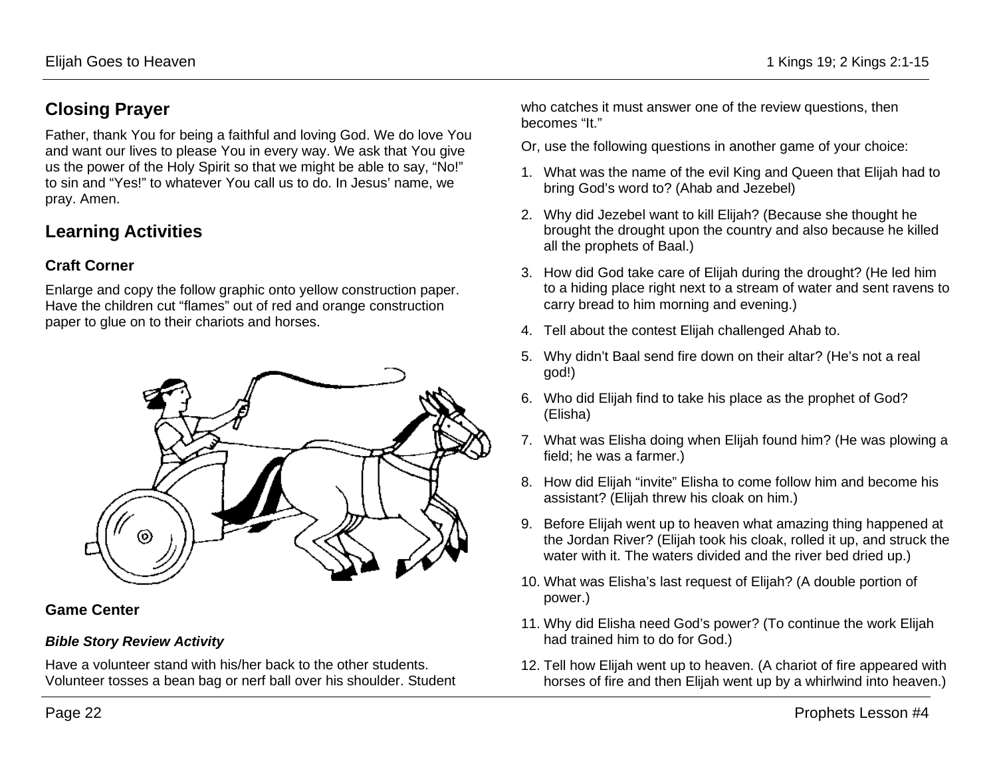## **Closing Prayer**

Father, thank You for being a faithful and loving God. We do love You and want our lives to please You in every way. We ask that You give us the power of the Holy Spirit so that we might be able to say, "No!" to sin and "Yes!" to whatever You call us to do. In Jesus' name, we pray. Amen.

## **Learning Activities**

### **Craft Corner**

Enlarge and copy the follow graphic onto yellow construction paper. Have the children cut "flames" out of red and orange construction paper to glue on to their chariots and horses.



### **Game Center**

### *Bible Story Review Activity*

Have a volunteer stand with his/her back to the other students. Volunteer tosses a bean bag or nerf ball over his shoulder. Student who catches it must answer one of the review questions, then becomes "It."

- Or, use the following questions in another game of your choice:
- 1. What was the name of the evil King and Queen that Elijah had to bring God's word to? (Ahab and Jezebel)
- 2. Why did Jezebel want to kill Elijah? (Because she thought he brought the drought upon the country and also because he killed all the prophets of Baal.)
- 3. How did God take care of Elijah during the drought? (He led him to a hiding place right next to a stream of water and sent ravens to carry bread to him morning and evening.)
- 4. Tell about the contest Elijah challenged Ahab to.
- 5. Why didn't Baal send fire down on their altar? (He's not a real god!)
- 6. Who did Elijah find to take his place as the prophet of God? (Elisha)
- 7. What was Elisha doing when Elijah found him? (He was plowing a field; he was a farmer.)
- 8. How did Elijah "invite" Elisha to come follow him and become his assistant? (Elijah threw his cloak on him.)
- 9. Before Elijah went up to heaven what amazing thing happened at the Jordan River? (Elijah took his cloak, rolled it up, and struck the water with it. The waters divided and the river bed dried up.)
- 10. What was Elisha's last request of Elijah? (A double portion of power.)
- 11. Why did Elisha need God's power? (To continue the work Elijah had trained him to do for God.)
- 12. Tell how Elijah went up to heaven. (A chariot of fire appeared with horses of fire and then Elijah went up by a whirlwind into heaven.)